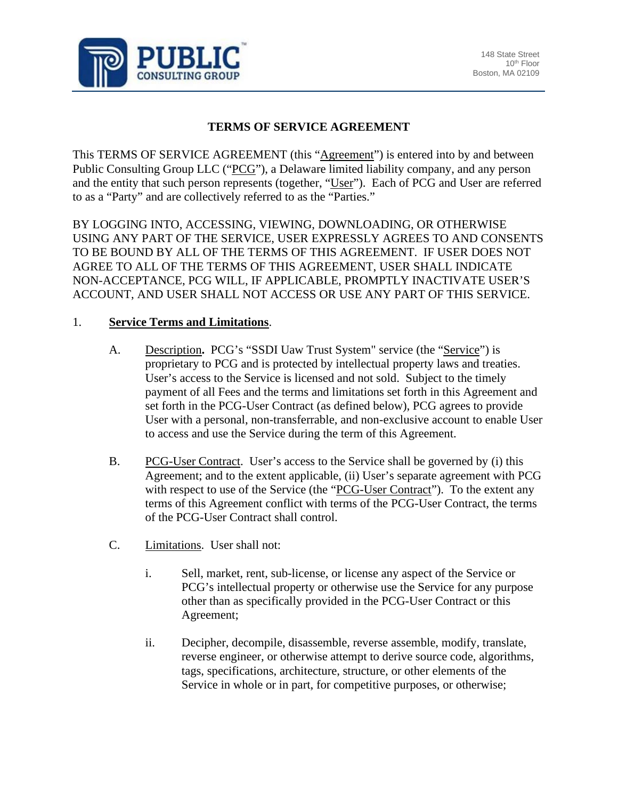

## **TERMS OF SERVICE AGREEMENT**

This TERMS OF SERVICE AGREEMENT (this "Agreement") is entered into by and between Public Consulting Group LLC ("PCG"), a Delaware limited liability company, and any person and the entity that such person represents (together, "User"). Each of PCG and User are referred to as a "Party" and are collectively referred to as the "Parties."

BY LOGGING INTO, ACCESSING, VIEWING, DOWNLOADING, OR OTHERWISE USING ANY PART OF THE SERVICE, USER EXPRESSLY AGREES TO AND CONSENTS TO BE BOUND BY ALL OF THE TERMS OF THIS AGREEMENT. IF USER DOES NOT AGREE TO ALL OF THE TERMS OF THIS AGREEMENT, USER SHALL INDICATE NON-ACCEPTANCE, PCG WILL, IF APPLICABLE, PROMPTLY INACTIVATE USER'S ACCOUNT, AND USER SHALL NOT ACCESS OR USE ANY PART OF THIS SERVICE.

## 1. **Service Terms and Limitations**.

- A. Description**.** PCG's "SSDI Uaw Trust System" service (the "Service") is proprietary to PCG and is protected by intellectual property laws and treaties. User's access to the Service is licensed and not sold. Subject to the timely payment of all Fees and the terms and limitations set forth in this Agreement and set forth in the PCG-User Contract (as defined below), PCG agrees to provide User with a personal, non-transferrable, and non-exclusive account to enable User to access and use the Service during the term of this Agreement.
- B. PCG-User Contract. User's access to the Service shall be governed by (i) this Agreement; and to the extent applicable, (ii) User's separate agreement with PCG with respect to use of the Service (the "PCG-User Contract"). To the extent any terms of this Agreement conflict with terms of the PCG-User Contract, the terms of the PCG-User Contract shall control.
- C. Limitations. User shall not:
	- i. Sell, market, rent, sub-license, or license any aspect of the Service or PCG's intellectual property or otherwise use the Service for any purpose other than as specifically provided in the PCG-User Contract or this Agreement;
	- ii. Decipher, decompile, disassemble, reverse assemble, modify, translate, reverse engineer, or otherwise attempt to derive source code, algorithms, tags, specifications, architecture, structure, or other elements of the Service in whole or in part, for competitive purposes, or otherwise;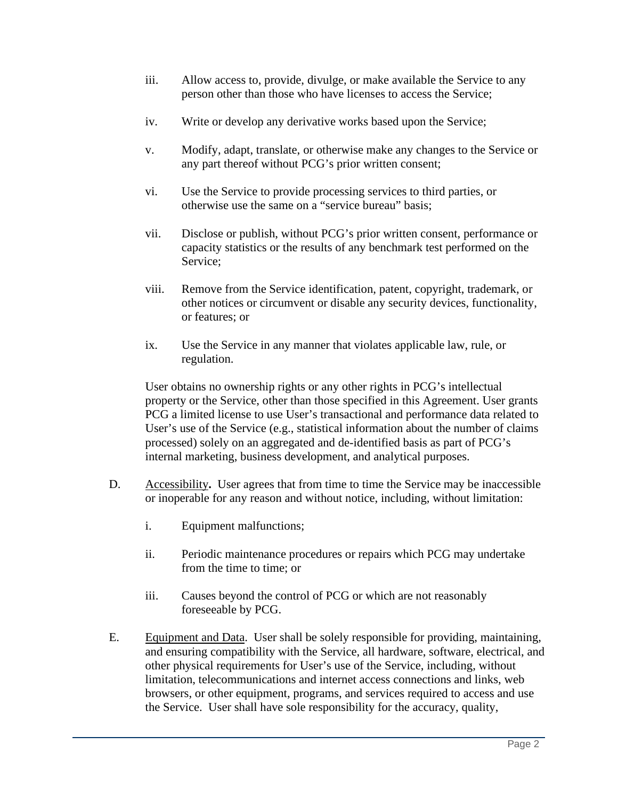- iii. Allow access to, provide, divulge, or make available the Service to any person other than those who have licenses to access the Service;
- iv. Write or develop any derivative works based upon the Service;
- v. Modify, adapt, translate, or otherwise make any changes to the Service or any part thereof without PCG's prior written consent;
- vi. Use the Service to provide processing services to third parties, or otherwise use the same on a "service bureau" basis;
- vii. Disclose or publish, without PCG's prior written consent, performance or capacity statistics or the results of any benchmark test performed on the Service;
- viii. Remove from the Service identification, patent, copyright, trademark, or other notices or circumvent or disable any security devices, functionality, or features; or
- ix. Use the Service in any manner that violates applicable law, rule, or regulation.

User obtains no ownership rights or any other rights in PCG's intellectual property or the Service, other than those specified in this Agreement. User grants PCG a limited license to use User's transactional and performance data related to User's use of the Service (e.g., statistical information about the number of claims processed) solely on an aggregated and de-identified basis as part of PCG's internal marketing, business development, and analytical purposes.

- D. Accessibility**.** User agrees that from time to time the Service may be inaccessible or inoperable for any reason and without notice, including, without limitation:
	- i. Equipment malfunctions;
	- ii. Periodic maintenance procedures or repairs which PCG may undertake from the time to time; or
	- iii. Causes beyond the control of PCG or which are not reasonably foreseeable by PCG.
- E. Equipment and Data. User shall be solely responsible for providing, maintaining, and ensuring compatibility with the Service, all hardware, software, electrical, and other physical requirements for User's use of the Service, including, without limitation, telecommunications and internet access connections and links, web browsers, or other equipment, programs, and services required to access and use the Service. User shall have sole responsibility for the accuracy, quality,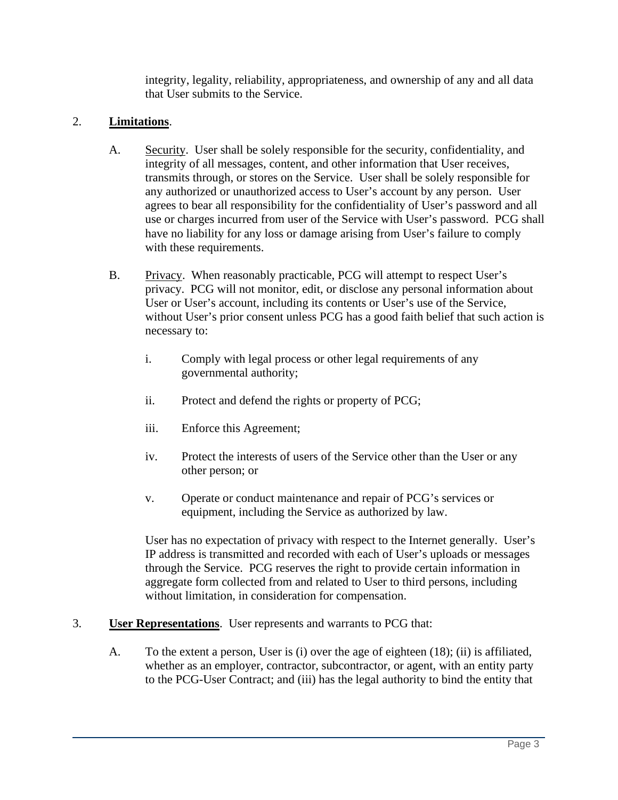integrity, legality, reliability, appropriateness, and ownership of any and all data that User submits to the Service.

## 2. **Limitations**.

- A. Security. User shall be solely responsible for the security, confidentiality, and integrity of all messages, content, and other information that User receives, transmits through, or stores on the Service. User shall be solely responsible for any authorized or unauthorized access to User's account by any person. User agrees to bear all responsibility for the confidentiality of User's password and all use or charges incurred from user of the Service with User's password. PCG shall have no liability for any loss or damage arising from User's failure to comply with these requirements.
- B. Privacy. When reasonably practicable, PCG will attempt to respect User's privacy. PCG will not monitor, edit, or disclose any personal information about User or User's account, including its contents or User's use of the Service, without User's prior consent unless PCG has a good faith belief that such action is necessary to:
	- i. Comply with legal process or other legal requirements of any governmental authority;
	- ii. Protect and defend the rights or property of PCG;
	- iii. Enforce this Agreement;
	- iv. Protect the interests of users of the Service other than the User or any other person; or
	- v. Operate or conduct maintenance and repair of PCG's services or equipment, including the Service as authorized by law.

User has no expectation of privacy with respect to the Internet generally. User's IP address is transmitted and recorded with each of User's uploads or messages through the Service. PCG reserves the right to provide certain information in aggregate form collected from and related to User to third persons, including without limitation, in consideration for compensation.

- 3. **User Representations**. User represents and warrants to PCG that:
	- A. To the extent a person, User is (i) over the age of eighteen (18); (ii) is affiliated, whether as an employer, contractor, subcontractor, or agent, with an entity party to the PCG-User Contract; and (iii) has the legal authority to bind the entity that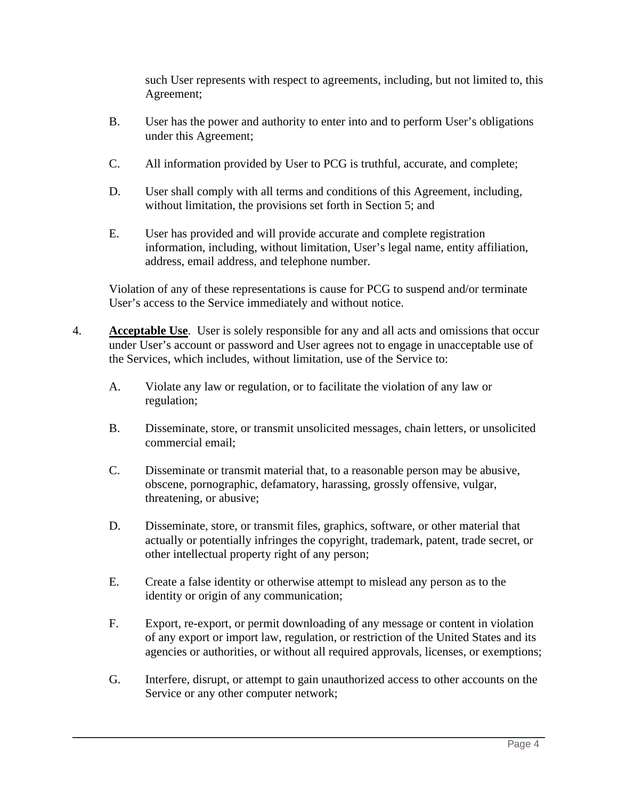such User represents with respect to agreements, including, but not limited to, this Agreement;

- B. User has the power and authority to enter into and to perform User's obligations under this Agreement;
- C. All information provided by User to PCG is truthful, accurate, and complete;
- D. User shall comply with all terms and conditions of this Agreement, including, without limitation, the provisions set forth in Section 5; and
- E. User has provided and will provide accurate and complete registration information, including, without limitation, User's legal name, entity affiliation, address, email address, and telephone number.

Violation of any of these representations is cause for PCG to suspend and/or terminate User's access to the Service immediately and without notice.

- 4. **Acceptable Use**. User is solely responsible for any and all acts and omissions that occur under User's account or password and User agrees not to engage in unacceptable use of the Services, which includes, without limitation, use of the Service to:
	- A. Violate any law or regulation, or to facilitate the violation of any law or regulation;
	- B. Disseminate, store, or transmit unsolicited messages, chain letters, or unsolicited commercial email;
	- C. Disseminate or transmit material that, to a reasonable person may be abusive, obscene, pornographic, defamatory, harassing, grossly offensive, vulgar, threatening, or abusive;
	- D. Disseminate, store, or transmit files, graphics, software, or other material that actually or potentially infringes the copyright, trademark, patent, trade secret, or other intellectual property right of any person;
	- E. Create a false identity or otherwise attempt to mislead any person as to the identity or origin of any communication;
	- F. Export, re-export, or permit downloading of any message or content in violation of any export or import law, regulation, or restriction of the United States and its agencies or authorities, or without all required approvals, licenses, or exemptions;
	- G. Interfere, disrupt, or attempt to gain unauthorized access to other accounts on the Service or any other computer network;